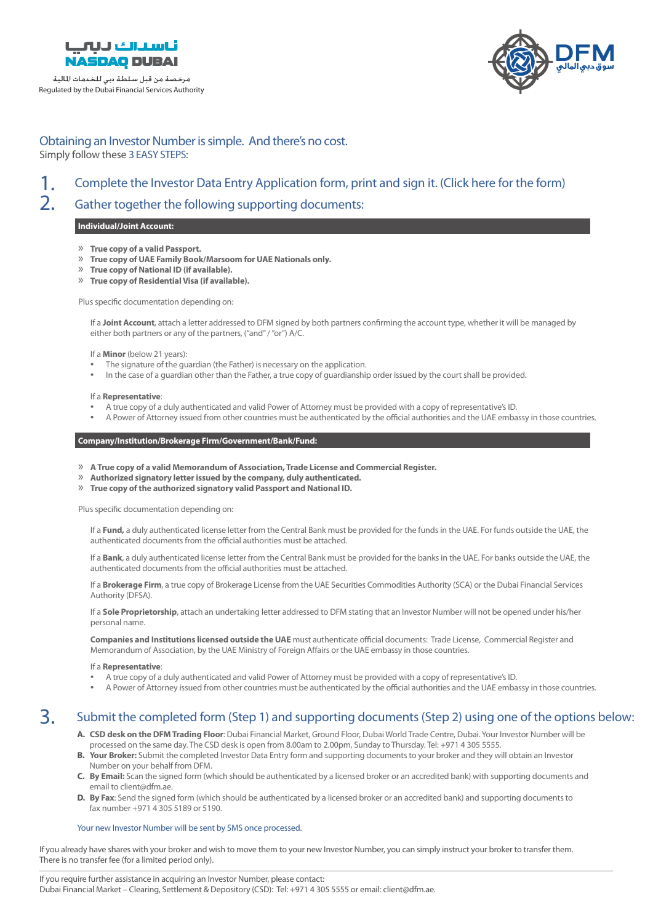

## Regulated by the Dubai Financial Services Authority مرخصة من قبل سلطة دبي للخدمات املالية



# Obtaining an Investor Number is simple. And there's no cost. Simply follow these 3 EASY STEPS:

#### Complete the Investor Data Entry Application form, print and sign it. (Click here for the form) 1.

#### Gather together the following supporting documents: 2.

## **Individual/Joint Account:**

- $\mathcal{P}$  True copy of a valid Passport.
- **20 True copy of UAE Family Book/Marsoom for UAE Nationals only.**
- $\sqrt{a}$  True copy of National ID (if available).
- **28** True copy of Residential Visa (if available).

Plus specific documentation depending on:

If a **Joint Account**, attach a letter addressed to DFM signed by both partners confirming the account type, whether it will be managed by either both partners or any of the partners, ("and" / "or")  $A/C$ .

#### If a **Minor** (below 21 years):

- The signature of the guardian (the Father) is necessary on the application.
- .provided be shall be provided by the court shall be provided. In the Father, a true copy of quardianship order issued by the court shall be provided.

#### If a **Representative**:

- A true copy of a duly authenticated and valid Power of Attorney must be provided with a copy of representative's ID.
- A Power of Attorney issued from other countries must be authenticated by the official authorities and the UAE embassy in those countries.

## Company/Institution/Brokerage Firm/Government/Bank/Fund:

- *»* **A True copy of a valid Memorandum of Association, Trade License and Commercial Register.**
- **2** Authorized signatory letter issued by the company, duly authenticated.
- **X** True copy of the authorized signatory valid Passport and National ID.

Plus specific documentation depending on:

If a Fund, a duly authenticated license letter from the Central Bank must be provided for the funds in the UAE. For funds outside the UAE, the authenticated documents from the official authorities must be attached.

If a Bank, a duly authenticated license letter from the Central Bank must be provided for the banks in the UAE. For banks outside the UAE, the authenticated documents from the official authorities must be attached.

If a **Brokerage Firm**, a true copy of Brokerage License from the UAE Securities Commodities Authority (SCA) or the Dubai Financial Services Authority (DFSA).

If a **Sole Proprietorship**, attach an undertaking letter addressed to DFM stating that an Investor Number will not be opened under his/her personal name

Companies and Institutions licensed outside the UAE must authenticate official documents: Trade License, Commercial Register and Memorandum of Association, by the UAE Ministry of Foreign Affairs or the UAE embassy in those countries.

#### If a **Representative**:

- A true copy of a duly authenticated and valid Power of Attorney must be provided with a copy of representative's ID.
- A Power of Attorney issued from other countries must be authenticated by the official authorities and the UAE embassy in those countries.

#### Submit the completed form (Step 1) and supporting documents (Step 2) using one of the options below: 3.

- A. CSD desk on the DFM Trading Floor: Dubai Financial Market, Ground Floor, Dubai World Trade Centre, Dubai. Your Investor Number will be processed on the same day. The CSD desk is open from 8.00am to 2.00pm, Sunday to Thursday. Tel: +971 4 305 5555.
- B. Your Broker: Submit the completed Investor Data Entry form and supporting documents to your broker and they will obtain an Investor Number on your behalf from DFM.
- **C.** By Email: Scan the signed form (which should be authenticated by a licensed broker or an accredited bank) with supporting documents and email to client@dfm.ae.
- D. By Fax: Send the signed form (which should be authenticated by a licensed broker or an accredited bank) and supporting documents to fax number +971 4 305 5189 or 5190.

#### Your new Investor Number will be sent by SMS once processed.

If you already have shares with your broker and wish to move them to your new Investor Number, you can simply instruct your broker to transfer them. There is no transfer fee (for a limited period only).